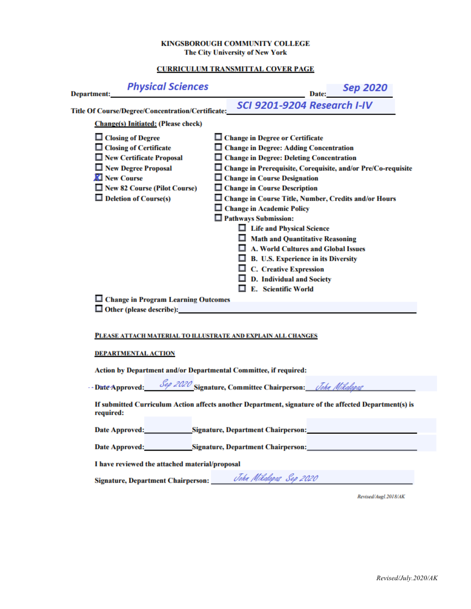## KINGSBOROUGH COMMUNITY COLLEGE The City University of New York

## **CURRICULUM TRANSMITTAL COVER PAGE**

| <b>Physical Sciences</b><br>Department:                                                                            | Date: Sep 2020                                                                                                 |  |
|--------------------------------------------------------------------------------------------------------------------|----------------------------------------------------------------------------------------------------------------|--|
| Title Of Course/Degree/Concentration/Certificate:                                                                  | SCI 9201-9204 Research I-IV                                                                                    |  |
| <b>Change(s)</b> Initiated: (Please check)                                                                         |                                                                                                                |  |
| □ Closing of Degree                                                                                                | $\Box$ Change in Degree or Certificate                                                                         |  |
| $\Box$ Closing of Certificate                                                                                      | □ Change in Degree: Adding Concentration                                                                       |  |
| New Certificate Proposal                                                                                           | □ Change in Degree: Deleting Concentration                                                                     |  |
| New Degree Proposal                                                                                                | □ Change in Prerequisite, Corequisite, and/or Pre/Co-requisite                                                 |  |
| <b>Z</b> New Course                                                                                                | $\Box$ Change in Course Designation                                                                            |  |
| New 82 Course (Pilot Course)                                                                                       | □ Change in Course Description                                                                                 |  |
| $\Box$ Deletion of Course(s)                                                                                       | □ Change in Course Title, Number, Credits and/or Hours                                                         |  |
|                                                                                                                    | □ Change in Academic Policy                                                                                    |  |
|                                                                                                                    | $\Box$ Pathways Submission:                                                                                    |  |
|                                                                                                                    | □ Life and Physical Science                                                                                    |  |
|                                                                                                                    | $\Box$ Math and Quantitative Reasoning                                                                         |  |
|                                                                                                                    | A. World Cultures and Global Issues                                                                            |  |
|                                                                                                                    | $\Box$ B. U.S. Experience in its Diversity                                                                     |  |
|                                                                                                                    | $\Box$ C. Creative Expression                                                                                  |  |
|                                                                                                                    | $\Box$ D. Individual and Society                                                                               |  |
|                                                                                                                    | E. Scientific World                                                                                            |  |
| $\Box$ Change in Program Learning Outcomes                                                                         |                                                                                                                |  |
| $\Box$ Other (please describe):                                                                                    |                                                                                                                |  |
|                                                                                                                    |                                                                                                                |  |
| PLEASE ATTACH MATERIAL TO ILLUSTRATE AND EXPLAIN ALL CHANGES                                                       |                                                                                                                |  |
|                                                                                                                    |                                                                                                                |  |
| <b>DEPARTMENTAL ACTION</b>                                                                                         |                                                                                                                |  |
| Action by Department and/or Departmental Committee, if required:                                                   |                                                                                                                |  |
|                                                                                                                    |                                                                                                                |  |
| --Date Approved: Sep 2020 Signature, Committee Chairperson: John Mikalapas                                         |                                                                                                                |  |
| If submitted Curriculum Action affects another Department, signature of the affected Department(s) is<br>required: |                                                                                                                |  |
|                                                                                                                    | Date Approved: Signature, Department Chairperson: National Chair School of Chairperson Chairperson Chairperson |  |
| Date Approved: Signature, Department Chairperson:                                                                  |                                                                                                                |  |
| I have reviewed the attached material/proposal                                                                     |                                                                                                                |  |
|                                                                                                                    | Signature, Department Chairperson: John Mikalopas Sep 2020                                                     |  |

Revised/Augl.2018/AK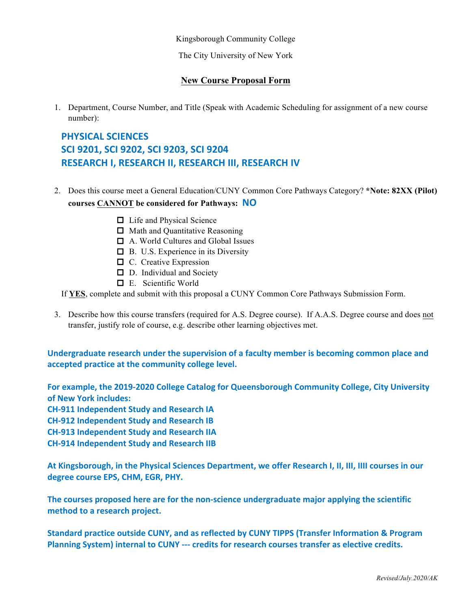Kingsborough Community College

The City University of New York

## **New Course Proposal Form**

1. Department, Course Number, and Title (Speak with Academic Scheduling for assignment of a new course number):

## **PHYSICAL SCIENCES SCI 9201, SCI 9202, SCI 9203, SCI 9204 RESEARCH I, RESEARCH II, RESEARCH III, RESEARCH IV**

- 2. Does this course meet a General Education/CUNY Common Core Pathways Category? **\*Note: 82XX (Pilot) courses CANNOT be considered for Pathways: NO**
	- □ Life and Physical Science
	- $\Box$  Math and Quantitative Reasoning
	- oA. World Cultures and Global Issues
	- **□** B. U.S. Experience in its Diversity
	- $\Box$  C. Creative Expression
	- D. Individual and Society
	- oE. Scientific World

If **YES**, complete and submit with this proposal a CUNY Common Core Pathways Submission Form.

3. Describe how this course transfers (required for A.S. Degree course). If A.A.S. Degree course and does not transfer, justify role of course, e.g. describe other learning objectives met.

Undergraduate research under the supervision of a faculty member is becoming common place and accepted practice at the community college level.

For example, the 2019-2020 College Catalog for Queensborough Community College, City University **of New York includes:** 

**CH-911 Independent Study and Research IA**

**CH-912 Independent Study and Research IB**

**CH-913 Independent Study and Research IIA**

**CH-914 Independent Study and Research IIB**

At Kingsborough, in the Physical Sciences Department, we offer Research I, II, III, IIII courses in our degree course EPS, CHM, EGR, PHY.

The courses proposed here are for the non-science undergraduate major applying the scientific method to a research project.

Standard practice outside CUNY, and as reflected by CUNY TIPPS (Transfer Information & Program **Planning System) internal to CUNY --- credits for research courses transfer as elective credits.**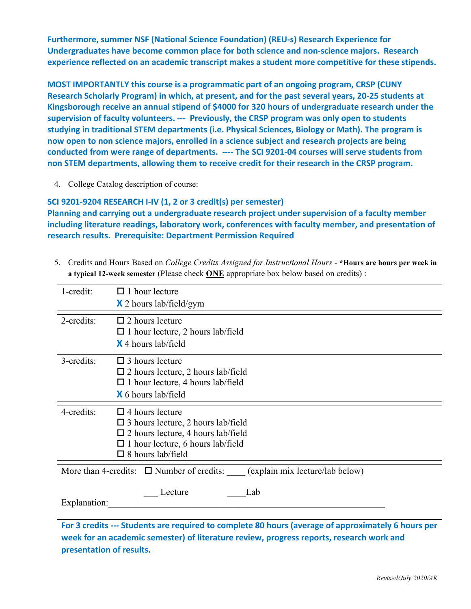**Furthermore, summer NSF (National Science Foundation) (REU-s) Research Experience for** Undergraduates have become common place for both science and non-science majors. Research experience reflected on an academic transcript makes a student more competitive for these stipends.

**MOST IMPORTANTLY** this course is a programmatic part of an ongoing program, CRSP (CUNY **Research Scholarly Program) in which, at present, and for the past several years, 20-25 students at** Kingsborough receive an annual stipend of \$4000 for 320 hours of undergraduate research under the supervision of faculty volunteers. --- Previously, the CRSP program was only open to students studying in traditional STEM departments (i.e. Physical Sciences, Biology or Math). The program is now open to non science majors, enrolled in a science subject and research projects are being conducted from were range of departments. ---- The SCI 9201-04 courses will serve students from non STEM departments, allowing them to receive credit for their research in the CRSP program.

4. College Catalog description of course:

**SCI 9201-9204 RESEARCH I-IV (1, 2 or 3 credit(s) per semester) Planning and carrying out a undergraduate research project under supervision of a faculty member** including literature readings, laboratory work, conferences with faculty member, and presentation of **research results. Prerequisite: Department Permission Required**

5. Credits and Hours Based on *College Credits Assigned for Instructional Hours* - **\*Hours are hours per week in a typical 12-week semester** (Please check **ONE** appropriate box below based on credits) :

| 1-credit:                                                                      | $\Box$ 1 hour lecture                                                                                                                                                                             |  |
|--------------------------------------------------------------------------------|---------------------------------------------------------------------------------------------------------------------------------------------------------------------------------------------------|--|
|                                                                                | $\times$ 2 hours lab/field/gym                                                                                                                                                                    |  |
| 2-credits:                                                                     | $\Box$ 2 hours lecture<br>$\Box$ 1 hour lecture, 2 hours lab/field<br><b>X</b> 4 hours lab/field                                                                                                  |  |
| 3-credits:                                                                     | $\Box$ 3 hours lecture<br>$\square$ 2 hours lecture, 2 hours lab/field<br>$\Box$ 1 hour lecture, 4 hours lab/field<br><b>X</b> 6 hours lab/field                                                  |  |
| 4-credits:                                                                     | $\Box$ 4 hours lecture<br>$\square$ 3 hours lecture, 2 hours lab/field<br>$\square$ 2 hours lecture, 4 hours lab/field<br>$\Box$ 1 hour lecture, 6 hours lab/field<br>$\square$ 8 hours lab/field |  |
| More than 4-credits: $\Box$ Number of credits: (explain mix lecture/lab below) |                                                                                                                                                                                                   |  |
| Lecture<br>Lab<br>Explanation:                                                 |                                                                                                                                                                                                   |  |

For 3 credits --- Students are required to complete 80 hours (average of approximately 6 hours per week for an academic semester) of literature review, progress reports, research work and **presentation of results.**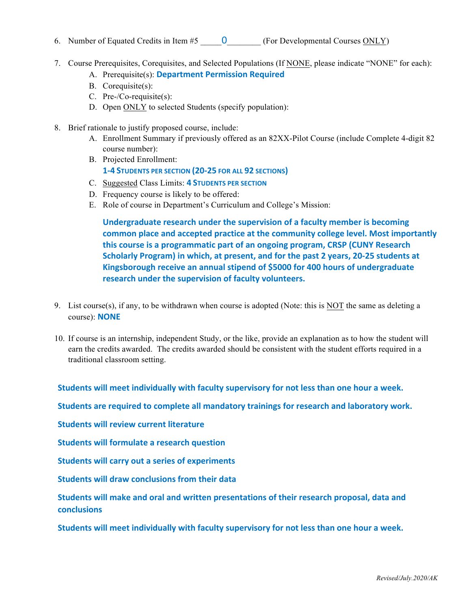- 6. Number of Equated Credits in Item  $#5$   $\qquad 0$  (For Developmental Courses ONLY)
- 7. Course Prerequisites, Corequisites, and Selected Populations (If NONE, please indicate "NONE" for each):
	- A. Prerequisite(s): **Department Permission Required**
	- B. Corequisite(s):
	- C. Pre-/Co-requisite(s):
	- D. Open ONLY to selected Students (specify population):
- 8. Brief rationale to justify proposed course, include:
	- A. Enrollment Summary if previously offered as an 82XX-Pilot Course (include Complete 4-digit 82 course number):
	- B. Projected Enrollment: **1-4 STUDENTS PER SECTION (20-25 FOR ALL 92 SECTIONS)**
	- C. Suggested Class Limits: **4 STUDENTS PER SECTION**
	- D. Frequency course is likely to be offered:
	- E. Role of course in Department's Curriculum and College's Mission:

Undergraduate research under the supervision of a faculty member is becoming **common place and accepted practice at the community college level. Most importantly** this course is a programmatic part of an ongoing program, CRSP (CUNY Research **Scholarly Program) in which, at present, and for the past 2 years, 20-25 students at** Kingsborough receive an annual stipend of \$5000 for 400 hours of undergraduate research under the supervision of faculty volunteers.

- 9. List course(s), if any, to be withdrawn when course is adopted (Note: this is NOT the same as deleting a course): **NONE**
- 10. If course is an internship, independent Study, or the like, provide an explanation as to how the student will earn the credits awarded. The credits awarded should be consistent with the student efforts required in a traditional classroom setting.

**Students will meet individually with faculty supervisory for not less than one hour a week.** 

Students are required to complete all mandatory trainings for research and laboratory work.

**Students will review current literature** 

**Students will formulate a research question** 

**Students will carry out a series of experiments** 

**Students will draw conclusions from their data** 

Students will make and oral and written presentations of their research proposal, data and **conclusions**

Students will meet individually with faculty supervisory for not less than one hour a week.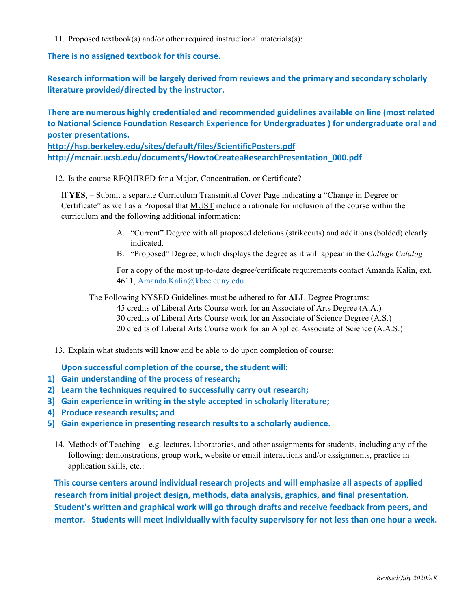11. Proposed textbook(s) and/or other required instructional materials(s):

There is no assigned textbook for this course.

**Research information will be largely derived from reviews and the primary and secondary scholarly** literature provided/directed by the instructor.

There are numerous highly credentialed and recommended guidelines available on line (most related to National Science Foundation Research Experience for Undergraduates ) for undergraduate oral and **poster presentations.**

**http://hsp.berkeley.edu/sites/default/files/ScientificPosters.pdf http://mcnair.ucsb.edu/documents/HowtoCreateaResearchPresentation\_000.pdf**

12. Is the course REQUIRED for a Major, Concentration, or Certificate?

If **YES**, – Submit a separate Curriculum Transmittal Cover Page indicating a "Change in Degree or Certificate" as well as a Proposal that MUST include a rationale for inclusion of the course within the curriculum and the following additional information:

- A. "Current" Degree with all proposed deletions (strikeouts) and additions (bolded) clearly indicated.
- B. "Proposed" Degree, which displays the degree as it will appear in the *College Catalog*

For a copy of the most up-to-date degree/certificate requirements contact Amanda Kalin, ext. 4611, Amanda.Kalin@kbcc.cuny.edu

The Following NYSED Guidelines must be adhered to for **ALL** Degree Programs:

45 credits of Liberal Arts Course work for an Associate of Arts Degree (A.A.) 30 credits of Liberal Arts Course work for an Associate of Science Degree (A.S.) 20 credits of Liberal Arts Course work for an Applied Associate of Science (A.A.S.)

13. Explain what students will know and be able to do upon completion of course:

Upon successful completion of the course, the student will:

- 1) Gain understanding of the process of research;
- **2)** Learn the techniques required to successfully carry out research;
- **3)** Gain experience in writing in the style accepted in scholarly literature;
- **4)** Produce research results; and
- **5)** Gain experience in presenting research results to a scholarly audience.
	- 14. Methods of Teaching e.g. lectures, laboratories, and other assignments for students, including any of the following: demonstrations, group work, website or email interactions and/or assignments, practice in application skills, etc.:

This course centers around individual research projects and will emphasize all aspects of applied research from initial project design, methods, data analysis, graphics, and final presentation. Student's written and graphical work will go through drafts and receive feedback from peers, and mentor. Students will meet individually with faculty supervisory for not less than one hour a week.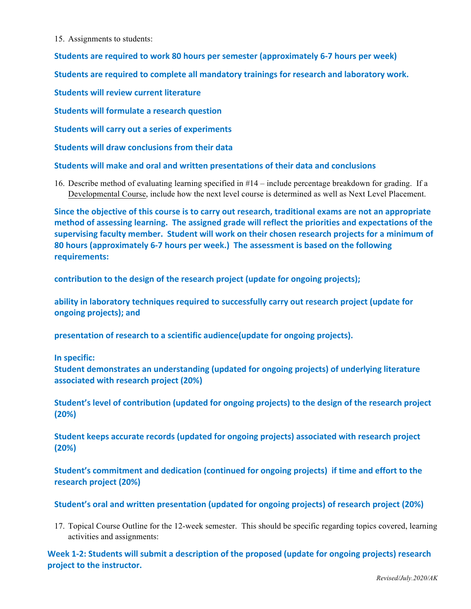15. Assignments to students:

**Students are required to work 80 hours per semester (approximately 6-7 hours per week)** 

**Students are required to complete all mandatory trainings for research and laboratory work.** 

**Students will review current literature** 

**Students will formulate a research question** 

**Students will carry out a series of experiments** 

**Students will draw conclusions from their data** 

**Students will make and oral and written presentations of their data and conclusions** 

16. Describe method of evaluating learning specified in #14 – include percentage breakdown for grading. If a Developmental Course, include how the next level course is determined as well as Next Level Placement.

Since the objective of this course is to carry out research, traditional exams are not an appropriate method of assessing learning. The assigned grade will reflect the priorities and expectations of the supervising faculty member. Student will work on their chosen research projects for a minimum of **80 hours (approximately 6-7 hours per week.) The assessment is based on the following** requirements:

contribution to the design of the research project (update for ongoing projects);

ability in laboratory techniques required to successfully carry out research project (update for **ongoing projects); and**

presentation of research to a scientific audience(update for ongoing projects).

**In specific:** 

**Student demonstrates an understanding (updated for ongoing projects) of underlying literature associated with research project (20%)** 

Student's level of contribution (updated for ongoing projects) to the design of the research project **(20%)** 

**Student keeps accurate records (updated for ongoing projects) associated with research project (20%)**

**Student's commitment and dedication (continued for ongoing projects) if time and effort to the research project (20%)**

**Student's oral and written presentation (updated for ongoing projects) of research project (20%)** 

17. Topical Course Outline for the 12-week semester. This should be specific regarding topics covered, learning activities and assignments:

Week 1-2: Students will submit a description of the proposed (update for ongoing projects) research project to the instructor.